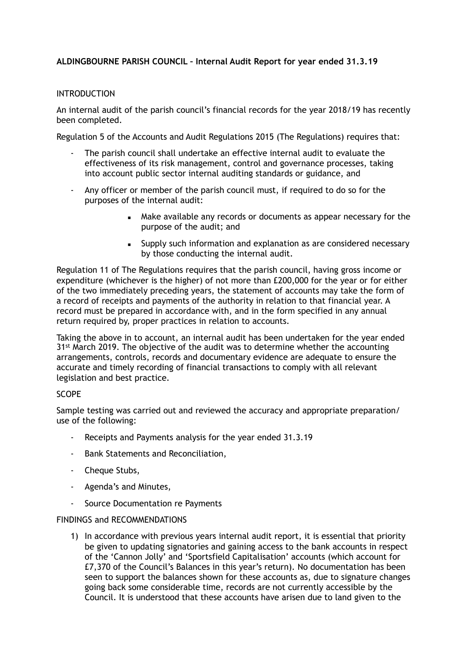# **ALDINGBOURNE PARISH COUNCIL – Internal Audit Report for year ended 31.3.19**

## INTRODUCTION

An internal audit of the parish council's financial records for the year 2018/19 has recently been completed.

Regulation 5 of the Accounts and Audit Regulations 2015 (The Regulations) requires that:

- The parish council shall undertake an effective internal audit to evaluate the effectiveness of its risk management, control and governance processes, taking into account public sector internal auditing standards or guidance, and
- Any officer or member of the parish council must, if required to do so for the purposes of the internal audit:
	- Make available any records or documents as appear necessary for the purpose of the audit; and
	- **EXECT** Supply such information and explanation as are considered necessary by those conducting the internal audit.

Regulation 11 of The Regulations requires that the parish council, having gross income or expenditure (whichever is the higher) of not more than £200,000 for the year or for either of the two immediately preceding years, the statement of accounts may take the form of a record of receipts and payments of the authority in relation to that financial year. A record must be prepared in accordance with, and in the form specified in any annual return required by, proper practices in relation to accounts.

Taking the above in to account, an internal audit has been undertaken for the year ended 31<sup>st</sup> March 2019. The objective of the audit was to determine whether the accounting arrangements, controls, records and documentary evidence are adequate to ensure the accurate and timely recording of financial transactions to comply with all relevant legislation and best practice.

## SCOPE

Sample testing was carried out and reviewed the accuracy and appropriate preparation/ use of the following:

- Receipts and Payments analysis for the year ended 31.3.19
- Bank Statements and Reconciliation,
- Cheque Stubs,
- Agenda's and Minutes,
- Source Documentation re Payments

### FINDINGS and RECOMMENDATIONS

1) In accordance with previous years internal audit report, it is essential that priority be given to updating signatories and gaining access to the bank accounts in respect of the 'Cannon Jolly' and 'Sportsfield Capitalisation' accounts (which account for £7,370 of the Council's Balances in this year's return). No documentation has been seen to support the balances shown for these accounts as, due to signature changes going back some considerable time, records are not currently accessible by the Council. It is understood that these accounts have arisen due to land given to the